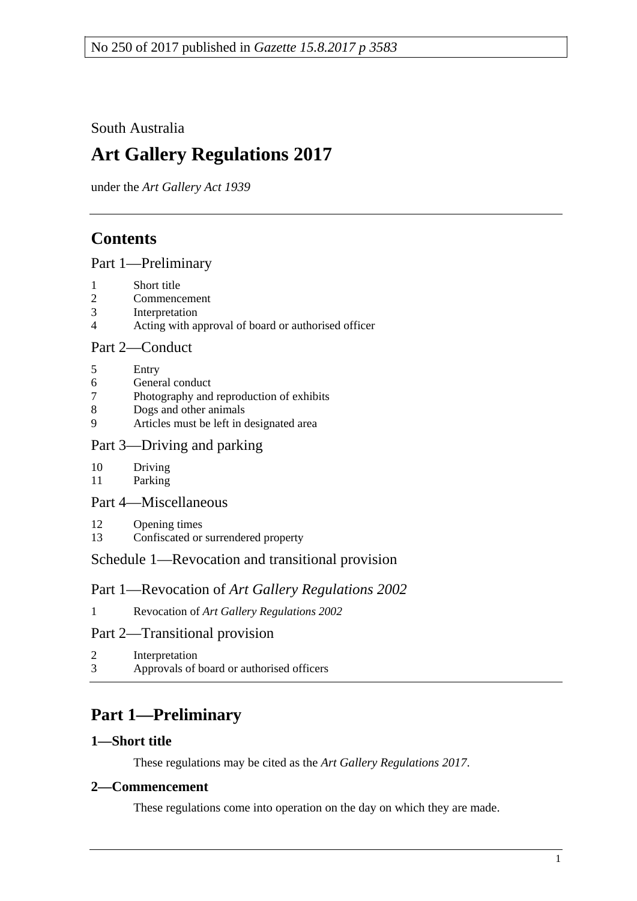South Australia

# **Art Gallery Regulations 2017**

under the *Art Gallery Act 1939*

# **Contents**

#### Part [1—Preliminary](#page-0-0)

- 1 [Short title](#page-0-1)
- 2 [Commencement](#page-0-2)
- 3 [Interpretation](#page-1-0)
- 4 [Acting with approval of board or authorised officer](#page-1-1)

## Part [2—Conduct](#page-2-0)

- 5 [Entry](#page-2-1)
- 6 [General conduct](#page-2-2)
- 7 [Photography and reproduction of exhibits](#page-3-0)
- 8 [Dogs and other animals](#page-3-1)
- 9 [Articles must be left in designated area](#page-3-2)

## Part [3—Driving and parking](#page-4-0)

- 10 [Driving](#page-4-1)
- 11 [Parking](#page-4-2)
- Part [4—Miscellaneous](#page-4-3)
- 12 [Opening times](#page-4-4)
- 13 [Confiscated or surrendered property](#page-5-0)

# Schedule [1—Revocation and transitional provision](#page-5-1)

# Part 1—Revocation of *Art Gallery Regulations 2002*

1 Revocation of *[Art Gallery Regulations](#page-5-2) 2002*

# Part 2—Transitional provision

2 [Interpretation](#page-5-3) 3 [Approvals of board or authorised officers](#page-5-4)

# <span id="page-0-0"></span>**Part 1—Preliminary**

#### <span id="page-0-1"></span>**1—Short title**

These regulations may be cited as the *Art Gallery Regulations 2017*.

#### <span id="page-0-2"></span>**2—Commencement**

These regulations come into operation on the day on which they are made.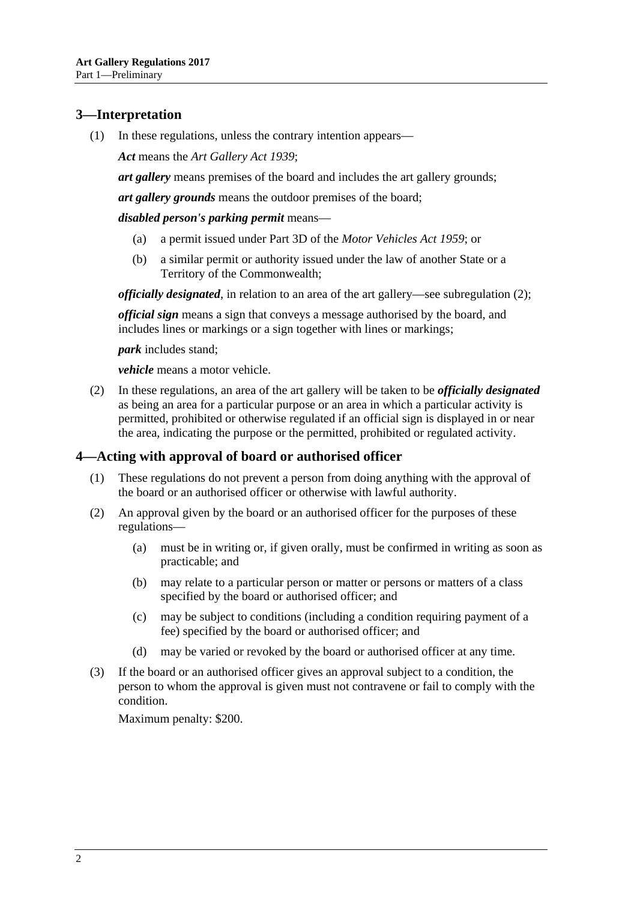# <span id="page-1-0"></span>**3—Interpretation**

(1) In these regulations, unless the contrary intention appears—

*Act* means the *[Art Gallery Act](http://www.legislation.sa.gov.au/index.aspx?action=legref&type=act&legtitle=Art%20Gallery%20Act%201939) 1939*;

*art gallery* means premises of the board and includes the art gallery grounds;

*art gallery grounds* means the outdoor premises of the board;

*disabled person's parking permit* means—

- (a) a permit issued under Part 3D of the *[Motor Vehicles Act](http://www.legislation.sa.gov.au/index.aspx?action=legref&type=act&legtitle=Motor%20Vehicles%20Act%201959) 1959*; or
- (b) a similar permit or authority issued under the law of another State or a Territory of the Commonwealth;

*officially designated*, in relation to an area of the art gallery—see [subregulation](#page-1-2) (2);

*official sign* means a sign that conveys a message authorised by the board, and includes lines or markings or a sign together with lines or markings;

*park* includes stand;

*vehicle* means a motor vehicle.

<span id="page-1-2"></span>(2) In these regulations, an area of the art gallery will be taken to be *officially designated* as being an area for a particular purpose or an area in which a particular activity is permitted, prohibited or otherwise regulated if an official sign is displayed in or near the area, indicating the purpose or the permitted, prohibited or regulated activity.

#### <span id="page-1-1"></span>**4—Acting with approval of board or authorised officer**

- (1) These regulations do not prevent a person from doing anything with the approval of the board or an authorised officer or otherwise with lawful authority.
- (2) An approval given by the board or an authorised officer for the purposes of these regulations—
	- (a) must be in writing or, if given orally, must be confirmed in writing as soon as practicable; and
	- (b) may relate to a particular person or matter or persons or matters of a class specified by the board or authorised officer; and
	- (c) may be subject to conditions (including a condition requiring payment of a fee) specified by the board or authorised officer; and
	- (d) may be varied or revoked by the board or authorised officer at any time.
- (3) If the board or an authorised officer gives an approval subject to a condition, the person to whom the approval is given must not contravene or fail to comply with the condition.

Maximum penalty: \$200.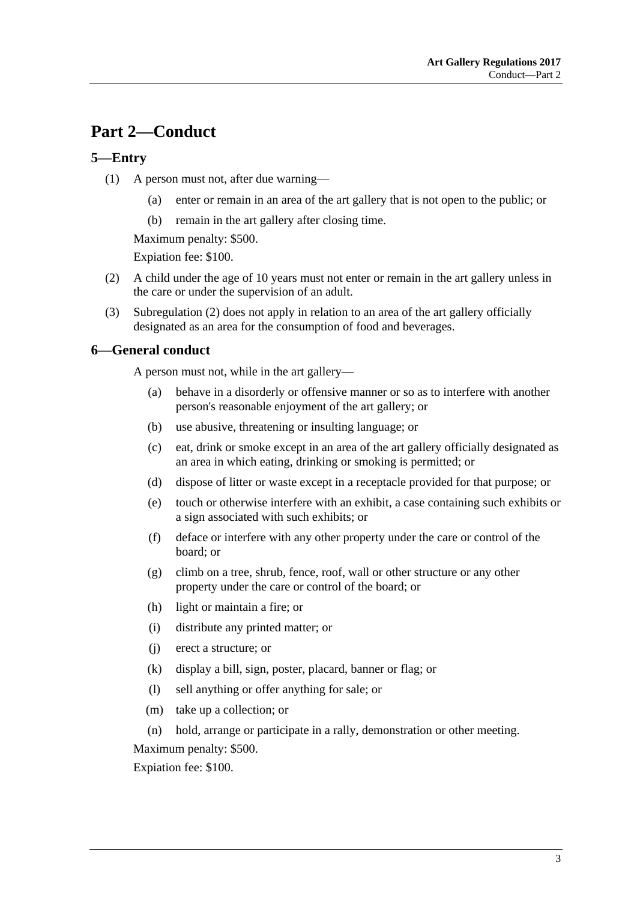# <span id="page-2-0"></span>**Part 2—Conduct**

## <span id="page-2-1"></span>**5—Entry**

- (1) A person must not, after due warning—
	- (a) enter or remain in an area of the art gallery that is not open to the public; or
	- (b) remain in the art gallery after closing time.

Maximum penalty: \$500.

Expiation fee: \$100.

- <span id="page-2-3"></span>(2) A child under the age of 10 years must not enter or remain in the art gallery unless in the care or under the supervision of an adult.
- (3) [Subregulation](#page-2-3) (2) does not apply in relation to an area of the art gallery officially designated as an area for the consumption of food and beverages.

#### <span id="page-2-2"></span>**6—General conduct**

A person must not, while in the art gallery—

- (a) behave in a disorderly or offensive manner or so as to interfere with another person's reasonable enjoyment of the art gallery; or
- (b) use abusive, threatening or insulting language; or
- (c) eat, drink or smoke except in an area of the art gallery officially designated as an area in which eating, drinking or smoking is permitted; or
- (d) dispose of litter or waste except in a receptacle provided for that purpose; or
- (e) touch or otherwise interfere with an exhibit, a case containing such exhibits or a sign associated with such exhibits; or
- (f) deface or interfere with any other property under the care or control of the board; or
- (g) climb on a tree, shrub, fence, roof, wall or other structure or any other property under the care or control of the board; or
- (h) light or maintain a fire; or
- (i) distribute any printed matter; or
- (j) erect a structure; or
- (k) display a bill, sign, poster, placard, banner or flag; or
- (l) sell anything or offer anything for sale; or
- (m) take up a collection; or
- (n) hold, arrange or participate in a rally, demonstration or other meeting.

Maximum penalty: \$500.

Expiation fee: \$100.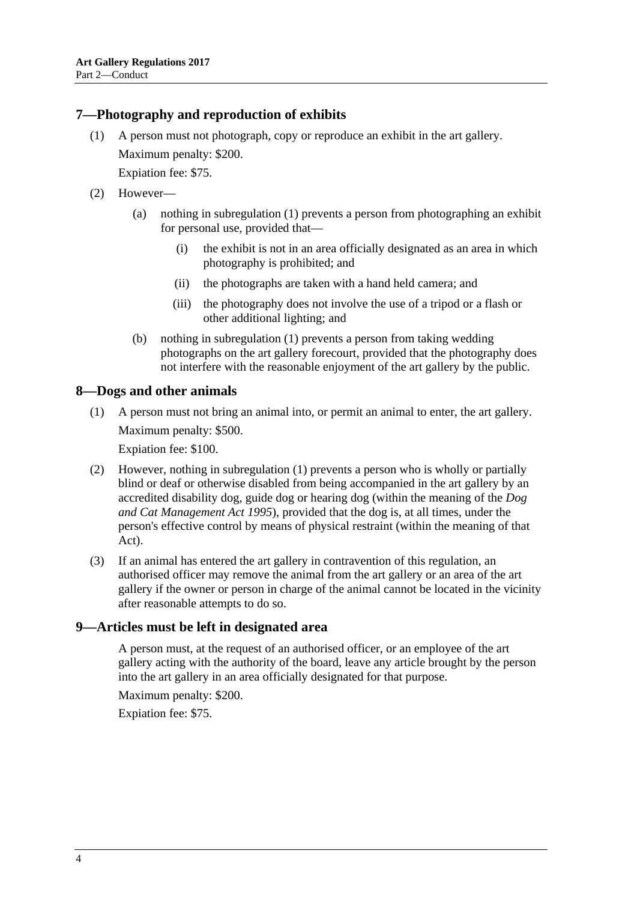### <span id="page-3-3"></span><span id="page-3-0"></span>**7—Photography and reproduction of exhibits**

(1) A person must not photograph, copy or reproduce an exhibit in the art gallery. Maximum penalty: \$200.

Expiation fee: \$75.

- (2) However—
	- (a) nothing in [subregulation](#page-3-3) (1) prevents a person from photographing an exhibit for personal use, provided that—
		- (i) the exhibit is not in an area officially designated as an area in which photography is prohibited; and
		- (ii) the photographs are taken with a hand held camera; and
		- (iii) the photography does not involve the use of a tripod or a flash or other additional lighting; and
	- (b) nothing in [subregulation](#page-3-3) (1) prevents a person from taking wedding photographs on the art gallery forecourt, provided that the photography does not interfere with the reasonable enjoyment of the art gallery by the public.

#### <span id="page-3-4"></span><span id="page-3-1"></span>**8—Dogs and other animals**

(1) A person must not bring an animal into, or permit an animal to enter, the art gallery. Maximum penalty: \$500.

Expiation fee: \$100.

- (2) However, nothing in [subregulation](#page-3-4) (1) prevents a person who is wholly or partially blind or deaf or otherwise disabled from being accompanied in the art gallery by an accredited disability dog, guide dog or hearing dog (within the meaning of the *[Dog](http://www.legislation.sa.gov.au/index.aspx?action=legref&type=act&legtitle=Dog%20and%20Cat%20Management%20Act%201995)  [and Cat Management Act](http://www.legislation.sa.gov.au/index.aspx?action=legref&type=act&legtitle=Dog%20and%20Cat%20Management%20Act%201995) 1995*), provided that the dog is, at all times, under the person's effective control by means of physical restraint (within the meaning of that Act).
- (3) If an animal has entered the art gallery in contravention of this regulation, an authorised officer may remove the animal from the art gallery or an area of the art gallery if the owner or person in charge of the animal cannot be located in the vicinity after reasonable attempts to do so.

#### <span id="page-3-2"></span>**9—Articles must be left in designated area**

A person must, at the request of an authorised officer, or an employee of the art gallery acting with the authority of the board, leave any article brought by the person into the art gallery in an area officially designated for that purpose.

Maximum penalty: \$200.

Expiation fee: \$75.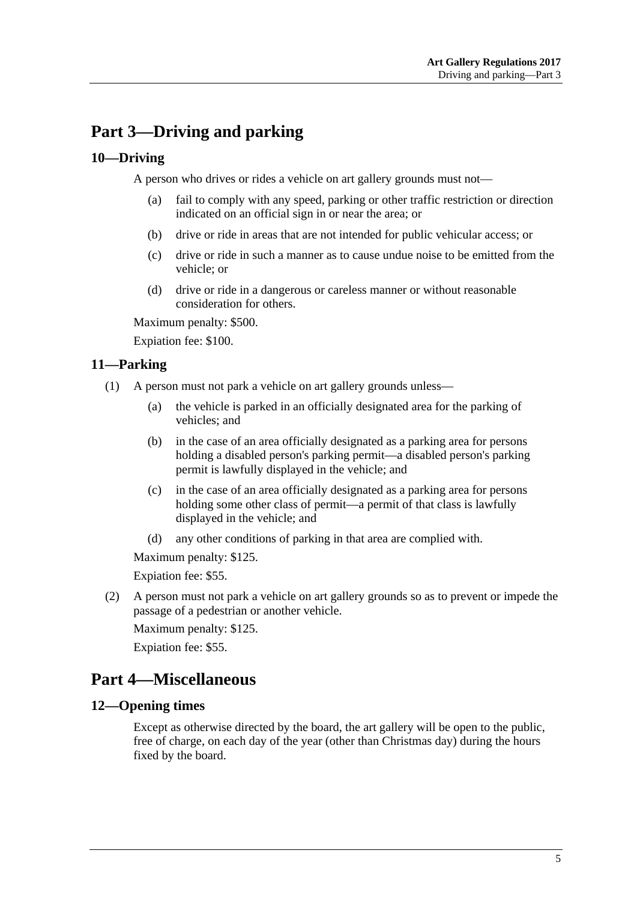# <span id="page-4-0"></span>**Part 3—Driving and parking**

## <span id="page-4-1"></span>**10—Driving**

A person who drives or rides a vehicle on art gallery grounds must not—

- (a) fail to comply with any speed, parking or other traffic restriction or direction indicated on an official sign in or near the area; or
- (b) drive or ride in areas that are not intended for public vehicular access; or
- (c) drive or ride in such a manner as to cause undue noise to be emitted from the vehicle; or
- (d) drive or ride in a dangerous or careless manner or without reasonable consideration for others.

Maximum penalty: \$500.

Expiation fee: \$100.

## <span id="page-4-2"></span>**11—Parking**

- (1) A person must not park a vehicle on art gallery grounds unless—
	- (a) the vehicle is parked in an officially designated area for the parking of vehicles; and
	- (b) in the case of an area officially designated as a parking area for persons holding a disabled person's parking permit—a disabled person's parking permit is lawfully displayed in the vehicle; and
	- (c) in the case of an area officially designated as a parking area for persons holding some other class of permit—a permit of that class is lawfully displayed in the vehicle; and
	- (d) any other conditions of parking in that area are complied with.

Maximum penalty: \$125.

Expiation fee: \$55.

(2) A person must not park a vehicle on art gallery grounds so as to prevent or impede the passage of a pedestrian or another vehicle.

Maximum penalty: \$125.

Expiation fee: \$55.

# <span id="page-4-3"></span>**Part 4—Miscellaneous**

#### <span id="page-4-4"></span>**12—Opening times**

Except as otherwise directed by the board, the art gallery will be open to the public, free of charge, on each day of the year (other than Christmas day) during the hours fixed by the board.